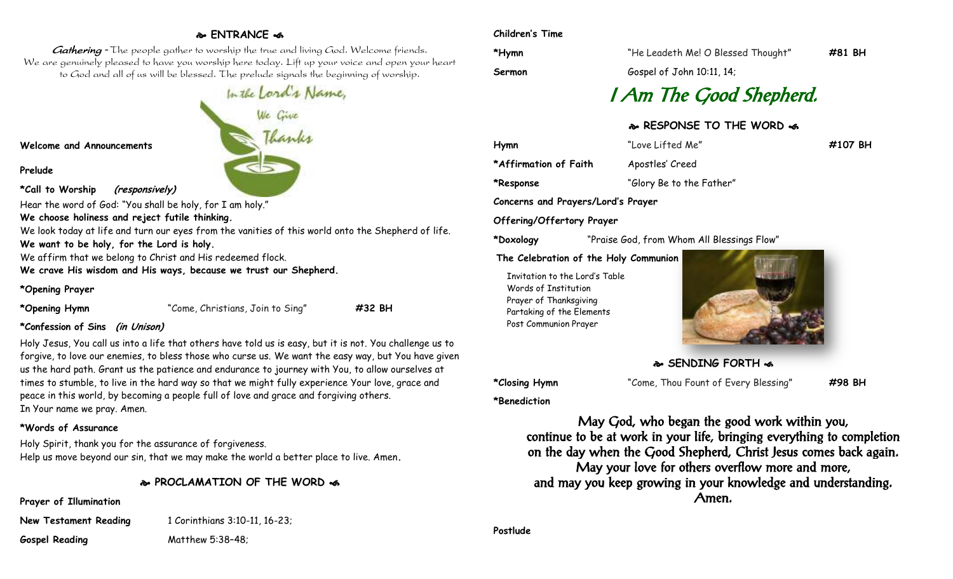# **ENTRANCE**

Gathering - The people gather to worship the true and living God. Welcome friends. We are genuinely pleased to have you worship here today. Lift up your voice and open your heart to God and all of us will be blessed. The prelude signals the beginning of worship.

#### **Welcome and Announcements**

**Prelude**

#### **\*Call to Worship (responsively)**

Hear the word of God: "You shall be holy, for I am holy."

**We choose holiness and reject futile thinking.**

We look today at life and turn our eyes from the vanities of this world onto the Shepherd of life.

**We want to be holy, for the Lord is holy.**

We affirm that we belong to Christ and His redeemed flock.

**We crave His wisdom and His ways, because we trust our Shepherd.**

#### **\*Opening Prayer**

**\*Opening Hymn** "Come, Christians, Join to Sing" **#32 BH**

#### **\*Confession of Sins (in Unison)**

Holy Jesus, You call us into a life that others have told us is easy, but it is not. You challenge us to forgive, to love our enemies, to bless those who curse us. We want the easy way, but You have given us the hard path. Grant us the patience and endurance to journey with You, to allow ourselves at times to stumble, to live in the hard way so that we might fully experience Your love, grace and peace in this world, by becoming a people full of love and grace and forgiving others. In Your name we pray. Amen.

### **\*Words of Assurance**

Holy Spirit, thank you for the assurance of forgiveness. Help us move beyond our sin, that we may make the world a better place to live. Amen**.**

# **PROCLAMATION OF THE WORD**

# **Prayer of Illumination**

**New Testament Reading 1 Corinthians 3:10-11, 16-23; Gospel Reading** Matthew 5:38–48;

#### **Children's Time**

**\*Hymn** "He Leadeth Me! O Blessed Thought" **#81 BH**

**Sermon** Gospel of John 10:11, 14;

# I Am The Good Shepherd.

# **RESPONSE TO THE WORD**

**Hymn** "Love Lifted Me" **#107 BH \*Affirmation of Faith** Apostles' Creed **\*Response** "Glory Be to the Father"

**Concerns and Prayers/Lord's Prayer**

## **Offering/Offertory Prayer**

**\*Doxology** "Praise God, from Whom All Blessings Flow"

#### **The Celebration of the Holy Communion**

Invitation to the Lord's Table Words of Institution Prayer of Thanksgiving Partaking of the Elements Post Communion Prayer



**SENDING FORTH &** 

**\*Benediction**

**\*Closing Hymn** "Come, Thou Fount of Every Blessing" **#98 BH**

May God, who began the good work within you, continue to be at work in your life, bringing everything to completion on the day when the Good Shepherd, Christ Jesus comes back again. May your love for others overflow more and more, and may you keep growing in your knowledge and understanding. Amen.

**Postlude**

In the Lord's Name,